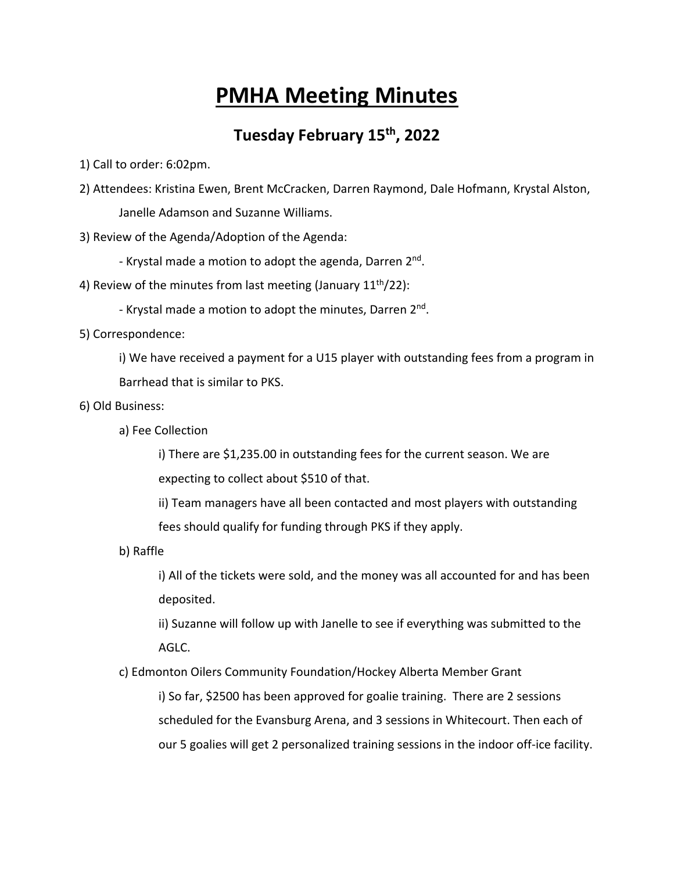# **PMHA Meeting Minutes**

## **Tuesday February 15th, 2022**

1) Call to order: 6:02pm.

2) Attendees: Kristina Ewen, Brent McCracken, Darren Raymond, Dale Hofmann, Krystal Alston, Janelle Adamson and Suzanne Williams.

3) Review of the Agenda/Adoption of the Agenda:

- Krystal made a motion to adopt the agenda, Darren 2nd.
- 4) Review of the minutes from last meeting (January  $11^{th}/22$ ):
	- Krystal made a motion to adopt the minutes, Darren 2<sup>nd</sup>.
- 5) Correspondence:

i) We have received a payment for a U15 player with outstanding fees from a program in Barrhead that is similar to PKS.

- 6) Old Business:
	- a) Fee Collection

i) There are \$1,235.00 in outstanding fees for the current season. We are expecting to collect about \$510 of that.

ii) Team managers have all been contacted and most players with outstanding fees should qualify for funding through PKS if they apply.

b) Raffle

i) All of the tickets were sold, and the money was all accounted for and has been deposited.

ii) Suzanne will follow up with Janelle to see if everything was submitted to the AGLC.

c) Edmonton Oilers Community Foundation/Hockey Alberta Member Grant

i) So far, \$2500 has been approved for goalie training. There are 2 sessions scheduled for the Evansburg Arena, and 3 sessions in Whitecourt. Then each of our 5 goalies will get 2 personalized training sessions in the indoor off-ice facility.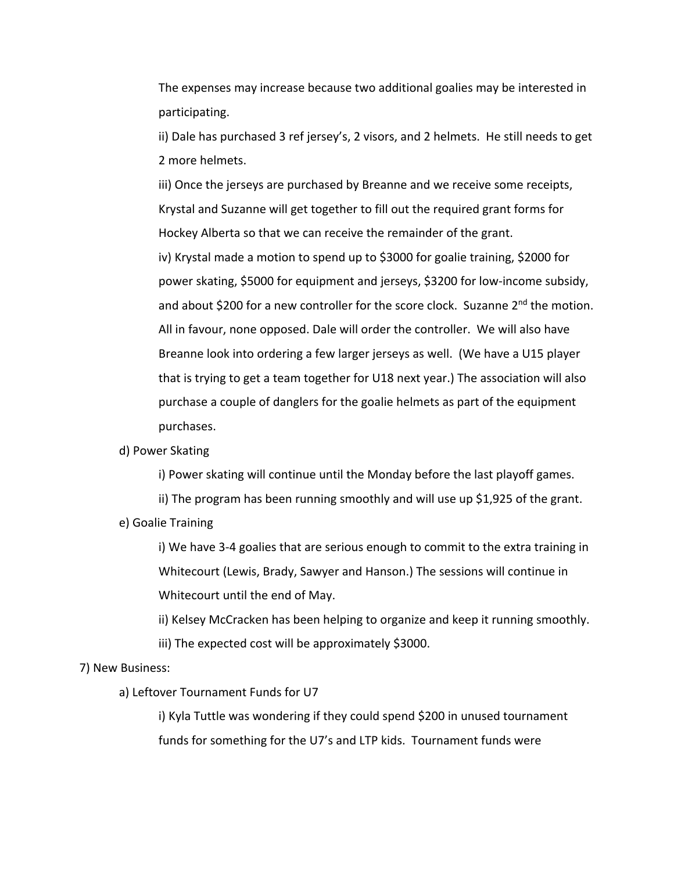The expenses may increase because two additional goalies may be interested in participating.

ii) Dale has purchased 3 ref jersey's, 2 visors, and 2 helmets. He still needs to get 2 more helmets.

iii) Once the jerseys are purchased by Breanne and we receive some receipts, Krystal and Suzanne will get together to fill out the required grant forms for Hockey Alberta so that we can receive the remainder of the grant. iv) Krystal made a motion to spend up to \$3000 for goalie training, \$2000 for power skating, \$5000 for equipment and jerseys, \$3200 for low-income subsidy, and about \$200 for a new controller for the score clock. Suzanne 2<sup>nd</sup> the motion. All in favour, none opposed. Dale will order the controller. We will also have Breanne look into ordering a few larger jerseys as well. (We have a U15 player that is trying to get a team together for U18 next year.) The association will also purchase a couple of danglers for the goalie helmets as part of the equipment purchases.

### d) Power Skating

i) Power skating will continue until the Monday before the last playoff games.

ii) The program has been running smoothly and will use up \$1,925 of the grant.

e) Goalie Training

i) We have 3-4 goalies that are serious enough to commit to the extra training in Whitecourt (Lewis, Brady, Sawyer and Hanson.) The sessions will continue in Whitecourt until the end of May.

ii) Kelsey McCracken has been helping to organize and keep it running smoothly. iii) The expected cost will be approximately \$3000.

### 7) New Business:

a) Leftover Tournament Funds for U7

i) Kyla Tuttle was wondering if they could spend \$200 in unused tournament funds for something for the U7's and LTP kids. Tournament funds were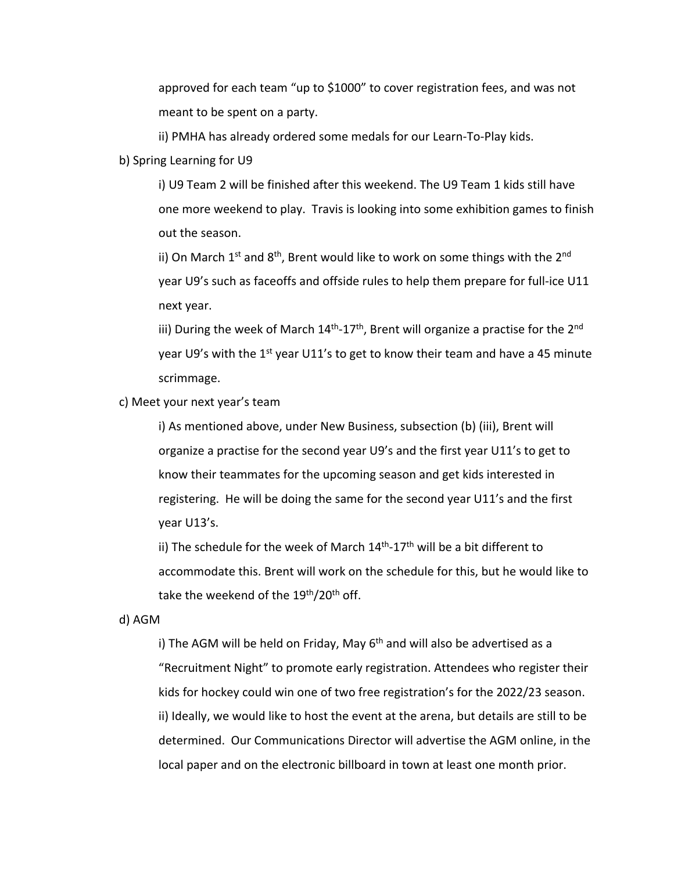approved for each team "up to \$1000" to cover registration fees, and was not meant to be spent on a party.

ii) PMHA has already ordered some medals for our Learn-To-Play kids.

b) Spring Learning for U9

i) U9 Team 2 will be finished after this weekend. The U9 Team 1 kids still have one more weekend to play. Travis is looking into some exhibition games to finish out the season.

ii) On March 1<sup>st</sup> and 8<sup>th</sup>, Brent would like to work on some things with the 2<sup>nd</sup> year U9's such as faceoffs and offside rules to help them prepare for full-ice U11 next year.

iii) During the week of March  $14<sup>th</sup>$ -17<sup>th</sup>, Brent will organize a practise for the 2<sup>nd</sup> year U9's with the 1<sup>st</sup> year U11's to get to know their team and have a 45 minute scrimmage.

c) Meet your next year's team

i) As mentioned above, under New Business, subsection (b) (iii), Brent will organize a practise for the second year U9's and the first year U11's to get to know their teammates for the upcoming season and get kids interested in registering. He will be doing the same for the second year U11's and the first year U13's.

ii) The schedule for the week of March  $14<sup>th</sup>$ -17<sup>th</sup> will be a bit different to accommodate this. Brent will work on the schedule for this, but he would like to take the weekend of the  $19<sup>th</sup>/20<sup>th</sup>$  off.

d) AGM

i) The AGM will be held on Friday, May  $6<sup>th</sup>$  and will also be advertised as a "Recruitment Night" to promote early registration. Attendees who register their kids for hockey could win one of two free registration's for the 2022/23 season. ii) Ideally, we would like to host the event at the arena, but details are still to be determined. Our Communications Director will advertise the AGM online, in the local paper and on the electronic billboard in town at least one month prior.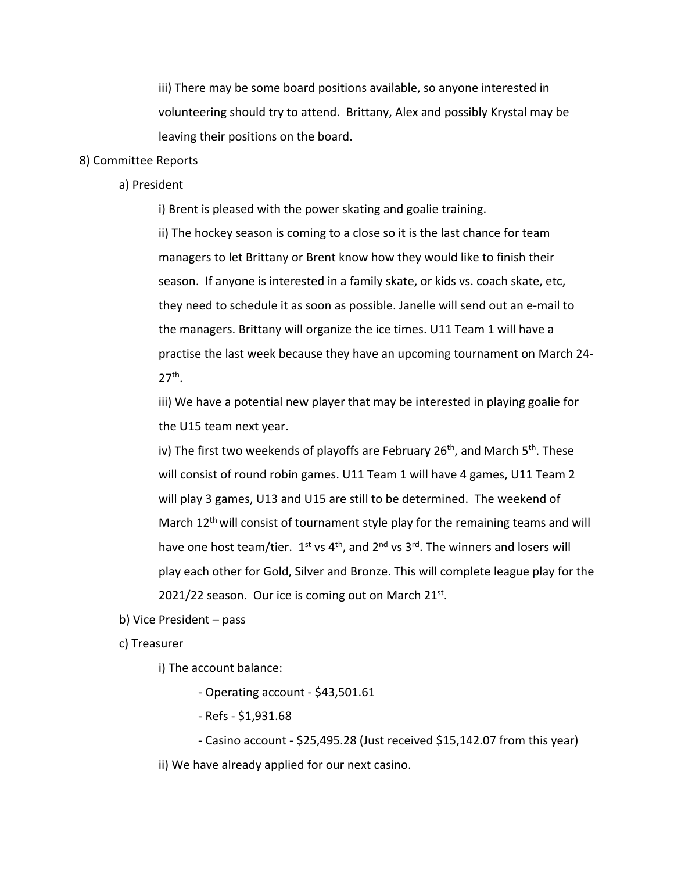iii) There may be some board positions available, so anyone interested in volunteering should try to attend. Brittany, Alex and possibly Krystal may be leaving their positions on the board.

#### 8) Committee Reports

a) President

i) Brent is pleased with the power skating and goalie training.

ii) The hockey season is coming to a close so it is the last chance for team managers to let Brittany or Brent know how they would like to finish their season. If anyone is interested in a family skate, or kids vs. coach skate, etc, they need to schedule it as soon as possible. Janelle will send out an e-mail to the managers. Brittany will organize the ice times. U11 Team 1 will have a practise the last week because they have an upcoming tournament on March 24-  $27<sup>th</sup>$ .

iii) We have a potential new player that may be interested in playing goalie for the U15 team next year.

iv) The first two weekends of playoffs are February 26<sup>th</sup>, and March 5<sup>th</sup>. These will consist of round robin games. U11 Team 1 will have 4 games, U11 Team 2 will play 3 games, U13 and U15 are still to be determined. The weekend of March 12<sup>th</sup> will consist of tournament style play for the remaining teams and will have one host team/tier.  $1^{st}$  vs  $4^{th}$ , and  $2^{nd}$  vs  $3^{rd}$ . The winners and losers will play each other for Gold, Silver and Bronze. This will complete league play for the 2021/22 season. Our ice is coming out on March  $21^{st}$ .

b) Vice President – pass

c) Treasurer

i) The account balance:

- Operating account - \$43,501.61

- Refs - \$1,931.68

- Casino account - \$25,495.28 (Just received \$15,142.07 from this year) ii) We have already applied for our next casino.